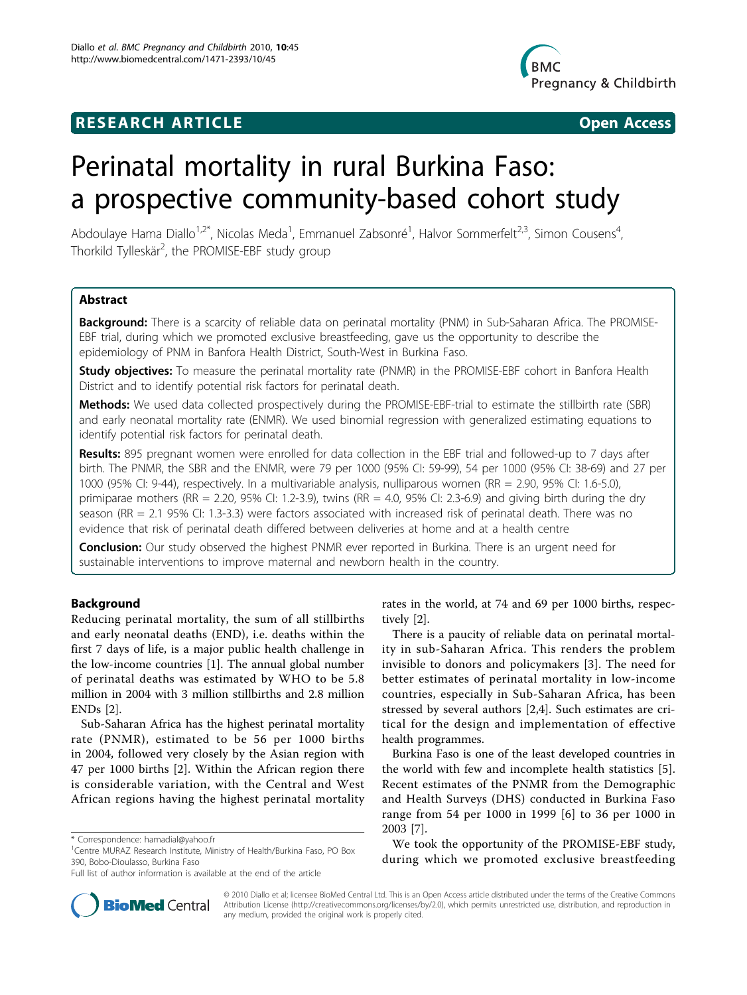## **RESEARCH ARTICLE Example 2018 12:30 THE Open Access**



# Perinatal mortality in rural Burkina Faso: a prospective community-based cohort study

Abdoulaye Hama Diallo<sup>1,2\*</sup>, Nicolas Meda<sup>1</sup>, Emmanuel Zabsonré<sup>1</sup>, Halvor Sommerfelt<sup>2,3</sup>, Simon Cousens<sup>4</sup> , Thorkild Tylleskär<sup>2</sup>, the PROMISE-EBF study group

## Abstract

Background: There is a scarcity of reliable data on perinatal mortality (PNM) in Sub-Saharan Africa. The PROMISE-EBF trial, during which we promoted exclusive breastfeeding, gave us the opportunity to describe the epidemiology of PNM in Banfora Health District, South-West in Burkina Faso.

**Study objectives:** To measure the perinatal mortality rate (PNMR) in the PROMISE-EBF cohort in Banfora Health District and to identify potential risk factors for perinatal death.

Methods: We used data collected prospectively during the PROMISE-EBF-trial to estimate the stillbirth rate (SBR) and early neonatal mortality rate (ENMR). We used binomial regression with generalized estimating equations to identify potential risk factors for perinatal death.

Results: 895 pregnant women were enrolled for data collection in the EBF trial and followed-up to 7 days after birth. The PNMR, the SBR and the ENMR, were 79 per 1000 (95% CI: 59-99), 54 per 1000 (95% CI: 38-69) and 27 per 1000 (95% CI: 9-44), respectively. In a multivariable analysis, nulliparous women (RR = 2.90, 95% CI: 1.6-5.0), primiparae mothers (RR = 2.20, 95% CI: 1.2-3.9), twins (RR = 4.0, 95% CI: 2.3-6.9) and giving birth during the dry season (RR = 2.1 95% CI: 1.3-3.3) were factors associated with increased risk of perinatal death. There was no evidence that risk of perinatal death differed between deliveries at home and at a health centre

**Conclusion:** Our study observed the highest PNMR ever reported in Burkina. There is an urgent need for sustainable interventions to improve maternal and newborn health in the country.

## Background

Reducing perinatal mortality, the sum of all stillbirths and early neonatal deaths (END), i.e. deaths within the first 7 days of life, is a major public health challenge in the low-income countries [[1\]](#page-7-0). The annual global number of perinatal deaths was estimated by WHO to be 5.8 million in 2004 with 3 million stillbirths and 2.8 million ENDs [[2\]](#page-7-0).

Sub-Saharan Africa has the highest perinatal mortality rate (PNMR), estimated to be 56 per 1000 births in 2004, followed very closely by the Asian region with 47 per 1000 births [\[2](#page-7-0)]. Within the African region there is considerable variation, with the Central and West African regions having the highest perinatal mortality



There is a paucity of reliable data on perinatal mortality in sub-Saharan Africa. This renders the problem invisible to donors and policymakers [[3\]](#page-7-0). The need for better estimates of perinatal mortality in low-income countries, especially in Sub-Saharan Africa, has been stressed by several authors [\[2](#page-7-0),[4\]](#page-7-0). Such estimates are critical for the design and implementation of effective health programmes.

Burkina Faso is one of the least developed countries in the world with few and incomplete health statistics [\[5](#page-7-0)]. Recent estimates of the PNMR from the Demographic and Health Surveys (DHS) conducted in Burkina Faso range from 54 per 1000 in 1999 [[6\]](#page-7-0) to 36 per 1000 in 2003 [[7\]](#page-7-0).

We took the opportunity of the PROMISE-EBF study, during which we promoted exclusive breastfeeding



© 2010 Diallo et al; licensee BioMed Central Ltd. This is an Open Access article distributed under the terms of the Creative Commons Attribution License [\(http://creativecommons.org/licenses/by/2.0](http://creativecommons.org/licenses/by/2.0)), which permits unrestricted use, distribution, and reproduction in any medium, provided the original work is properly cited.

<sup>\*</sup> Correspondence: [hamadial@yahoo.fr](mailto:hamadial@yahoo.fr)

<sup>&</sup>lt;sup>1</sup>Centre MURAZ Research Institute, Ministry of Health/Burkina Faso, PO Box 390, Bobo-Dioulasso, Burkina Faso

Full list of author information is available at the end of the article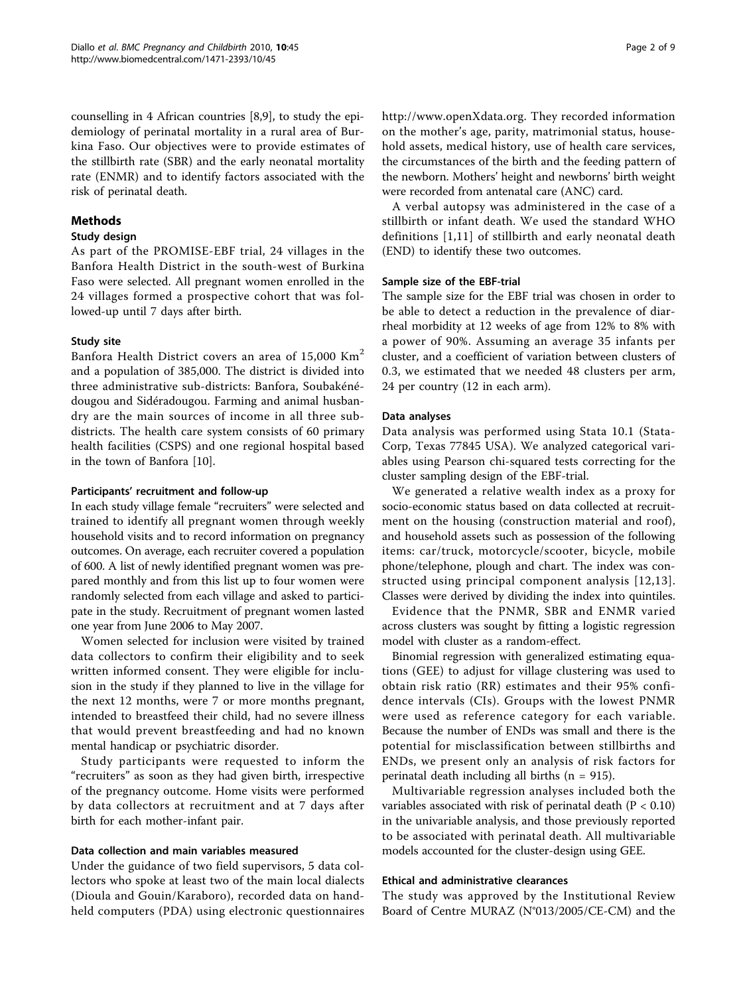counselling in 4 African countries [\[8,9](#page-7-0)], to study the epidemiology of perinatal mortality in a rural area of Burkina Faso. Our objectives were to provide estimates of the stillbirth rate (SBR) and the early neonatal mortality rate (ENMR) and to identify factors associated with the risk of perinatal death.

## Methods

## Study design

As part of the PROMISE-EBF trial, 24 villages in the Banfora Health District in the south-west of Burkina Faso were selected. All pregnant women enrolled in the 24 villages formed a prospective cohort that was followed-up until 7 days after birth.

## Study site

Banfora Health District covers an area of  $15,000$  Km<sup>2</sup> and a population of 385,000. The district is divided into three administrative sub-districts: Banfora, Soubakénédougou and Sidéradougou. Farming and animal husbandry are the main sources of income in all three subdistricts. The health care system consists of 60 primary health facilities (CSPS) and one regional hospital based in the town of Banfora [[10\]](#page-7-0).

## Participants' recruitment and follow-up

In each study village female "recruiters" were selected and trained to identify all pregnant women through weekly household visits and to record information on pregnancy outcomes. On average, each recruiter covered a population of 600. A list of newly identified pregnant women was prepared monthly and from this list up to four women were randomly selected from each village and asked to participate in the study. Recruitment of pregnant women lasted one year from June 2006 to May 2007.

Women selected for inclusion were visited by trained data collectors to confirm their eligibility and to seek written informed consent. They were eligible for inclusion in the study if they planned to live in the village for the next 12 months, were 7 or more months pregnant, intended to breastfeed their child, had no severe illness that would prevent breastfeeding and had no known mental handicap or psychiatric disorder.

Study participants were requested to inform the "recruiters" as soon as they had given birth, irrespective of the pregnancy outcome. Home visits were performed by data collectors at recruitment and at 7 days after birth for each mother-infant pair.

## Data collection and main variables measured

Under the guidance of two field supervisors, 5 data collectors who spoke at least two of the main local dialects (Dioula and Gouin/Karaboro), recorded data on handheld computers (PDA) using electronic questionnaires [http://www.openXdata.org.](http://www.openXdata.org) They recorded information on the mother's age, parity, matrimonial status, household assets, medical history, use of health care services, the circumstances of the birth and the feeding pattern of the newborn. Mothers' height and newborns' birth weight were recorded from antenatal care (ANC) card.

A verbal autopsy was administered in the case of a stillbirth or infant death. We used the standard WHO definitions [[1,11](#page-7-0)] of stillbirth and early neonatal death (END) to identify these two outcomes.

## Sample size of the EBF-trial

The sample size for the EBF trial was chosen in order to be able to detect a reduction in the prevalence of diarrheal morbidity at 12 weeks of age from 12% to 8% with a power of 90%. Assuming an average 35 infants per cluster, and a coefficient of variation between clusters of 0.3, we estimated that we needed 48 clusters per arm, 24 per country (12 in each arm).

## Data analyses

Data analysis was performed using Stata 10.1 (Stata-Corp, Texas 77845 USA). We analyzed categorical variables using Pearson chi-squared tests correcting for the cluster sampling design of the EBF-trial.

We generated a relative wealth index as a proxy for socio-economic status based on data collected at recruitment on the housing (construction material and roof), and household assets such as possession of the following items: car/truck, motorcycle/scooter, bicycle, mobile phone/telephone, plough and chart. The index was constructed using principal component analysis [[12,13\]](#page-7-0). Classes were derived by dividing the index into quintiles.

Evidence that the PNMR, SBR and ENMR varied across clusters was sought by fitting a logistic regression model with cluster as a random-effect.

Binomial regression with generalized estimating equations (GEE) to adjust for village clustering was used to obtain risk ratio (RR) estimates and their 95% confidence intervals (CIs). Groups with the lowest PNMR were used as reference category for each variable. Because the number of ENDs was small and there is the potential for misclassification between stillbirths and ENDs, we present only an analysis of risk factors for perinatal death including all births  $(n = 915)$ .

Multivariable regression analyses included both the variables associated with risk of perinatal death ( $P < 0.10$ ) in the univariable analysis, and those previously reported to be associated with perinatal death. All multivariable models accounted for the cluster-design using GEE.

## Ethical and administrative clearances

The study was approved by the Institutional Review Board of Centre MURAZ (N°013/2005/CE-CM) and the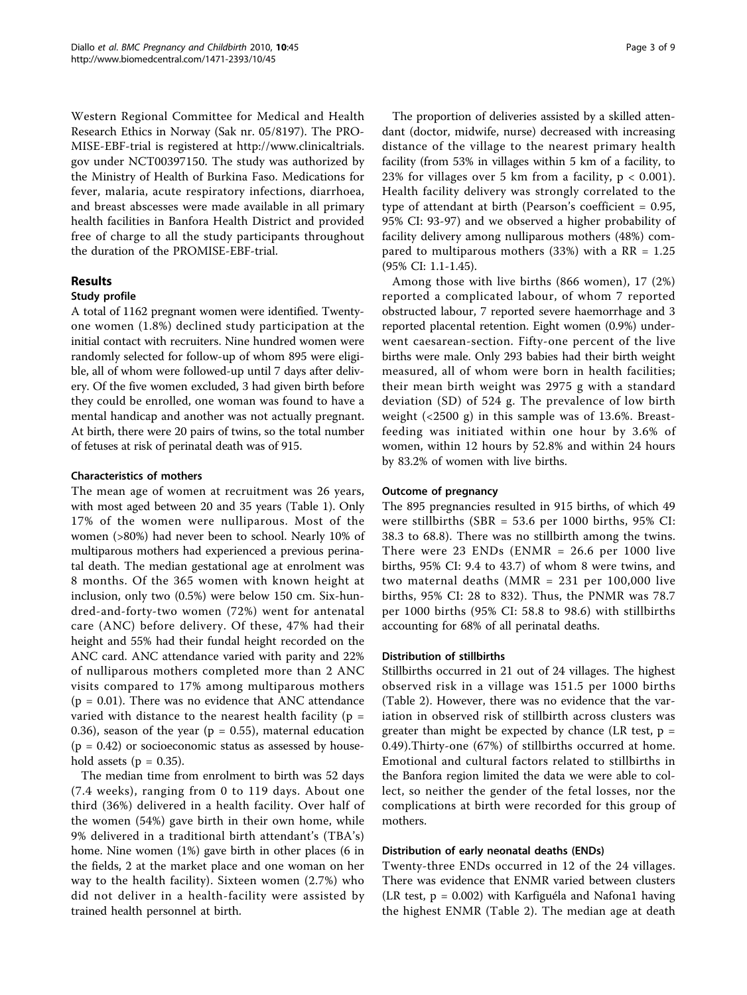Western Regional Committee for Medical and Health Research Ethics in Norway (Sak nr. 05/8197). The PRO-MISE-EBF-trial is registered at [http://www.clinicaltrials.](http://www.clinicaltrials.gov) [gov](http://www.clinicaltrials.gov) under NCT00397150. The study was authorized by the Ministry of Health of Burkina Faso. Medications for fever, malaria, acute respiratory infections, diarrhoea, and breast abscesses were made available in all primary health facilities in Banfora Health District and provided free of charge to all the study participants throughout the duration of the PROMISE-EBF-trial.

## Results

## Study profile

A total of 1162 pregnant women were identified. Twentyone women (1.8%) declined study participation at the initial contact with recruiters. Nine hundred women were randomly selected for follow-up of whom 895 were eligible, all of whom were followed-up until 7 days after delivery. Of the five women excluded, 3 had given birth before they could be enrolled, one woman was found to have a mental handicap and another was not actually pregnant. At birth, there were 20 pairs of twins, so the total number of fetuses at risk of perinatal death was of 915.

#### Characteristics of mothers

The mean age of women at recruitment was 26 years, with most aged between 20 and 35 years (Table [1](#page-3-0)). Only 17% of the women were nulliparous. Most of the women (>80%) had never been to school. Nearly 10% of multiparous mothers had experienced a previous perinatal death. The median gestational age at enrolment was 8 months. Of the 365 women with known height at inclusion, only two (0.5%) were below 150 cm. Six-hundred-and-forty-two women (72%) went for antenatal care (ANC) before delivery. Of these, 47% had their height and 55% had their fundal height recorded on the ANC card. ANC attendance varied with parity and 22% of nulliparous mothers completed more than 2 ANC visits compared to 17% among multiparous mothers  $(p = 0.01)$ . There was no evidence that ANC attendance varied with distance to the nearest health facility ( $p =$ 0.36), season of the year ( $p = 0.55$ ), maternal education  $(p = 0.42)$  or socioeconomic status as assessed by household assets ( $p = 0.35$ ).

The median time from enrolment to birth was 52 days (7.4 weeks), ranging from 0 to 119 days. About one third (36%) delivered in a health facility. Over half of the women (54%) gave birth in their own home, while 9% delivered in a traditional birth attendant's (TBA's) home. Nine women (1%) gave birth in other places (6 in the fields, 2 at the market place and one woman on her way to the health facility). Sixteen women (2.7%) who did not deliver in a health-facility were assisted by trained health personnel at birth.

The proportion of deliveries assisted by a skilled attendant (doctor, midwife, nurse) decreased with increasing distance of the village to the nearest primary health facility (from 53% in villages within 5 km of a facility, to 23% for villages over 5 km from a facility,  $p < 0.001$ ). Health facility delivery was strongly correlated to the type of attendant at birth (Pearson's coefficient = 0.95, 95% CI: 93-97) and we observed a higher probability of facility delivery among nulliparous mothers (48%) compared to multiparous mothers (33%) with a  $RR = 1.25$ (95% CI: 1.1-1.45).

Among those with live births (866 women), 17 (2%) reported a complicated labour, of whom 7 reported obstructed labour, 7 reported severe haemorrhage and 3 reported placental retention. Eight women (0.9%) underwent caesarean-section. Fifty-one percent of the live births were male. Only 293 babies had their birth weight measured, all of whom were born in health facilities; their mean birth weight was 2975 g with a standard deviation (SD) of 524 g. The prevalence of low birth weight (<2500 g) in this sample was of 13.6%. Breastfeeding was initiated within one hour by 3.6% of women, within 12 hours by 52.8% and within 24 hours by 83.2% of women with live births.

#### Outcome of pregnancy

The 895 pregnancies resulted in 915 births, of which 49 were stillbirths (SBR = 53.6 per 1000 births, 95% CI: 38.3 to 68.8). There was no stillbirth among the twins. There were 23 ENDs (ENMR =  $26.6$  per 1000 live births, 95% CI: 9.4 to 43.7) of whom 8 were twins, and two maternal deaths (MMR = 231 per 100,000 live births, 95% CI: 28 to 832). Thus, the PNMR was 78.7 per 1000 births (95% CI: 58.8 to 98.6) with stillbirths accounting for 68% of all perinatal deaths.

#### Distribution of stillbirths

Stillbirths occurred in 21 out of 24 villages. The highest observed risk in a village was 151.5 per 1000 births (Table [2](#page-5-0)). However, there was no evidence that the variation in observed risk of stillbirth across clusters was greater than might be expected by chance (LR test,  $p =$ 0.49).Thirty-one (67%) of stillbirths occurred at home. Emotional and cultural factors related to stillbirths in the Banfora region limited the data we were able to collect, so neither the gender of the fetal losses, nor the complications at birth were recorded for this group of mothers.

## Distribution of early neonatal deaths (ENDs)

Twenty-three ENDs occurred in 12 of the 24 villages. There was evidence that ENMR varied between clusters (LR test,  $p = 0.002$ ) with Karfiguéla and Nafona1 having the highest ENMR (Table [2](#page-5-0)). The median age at death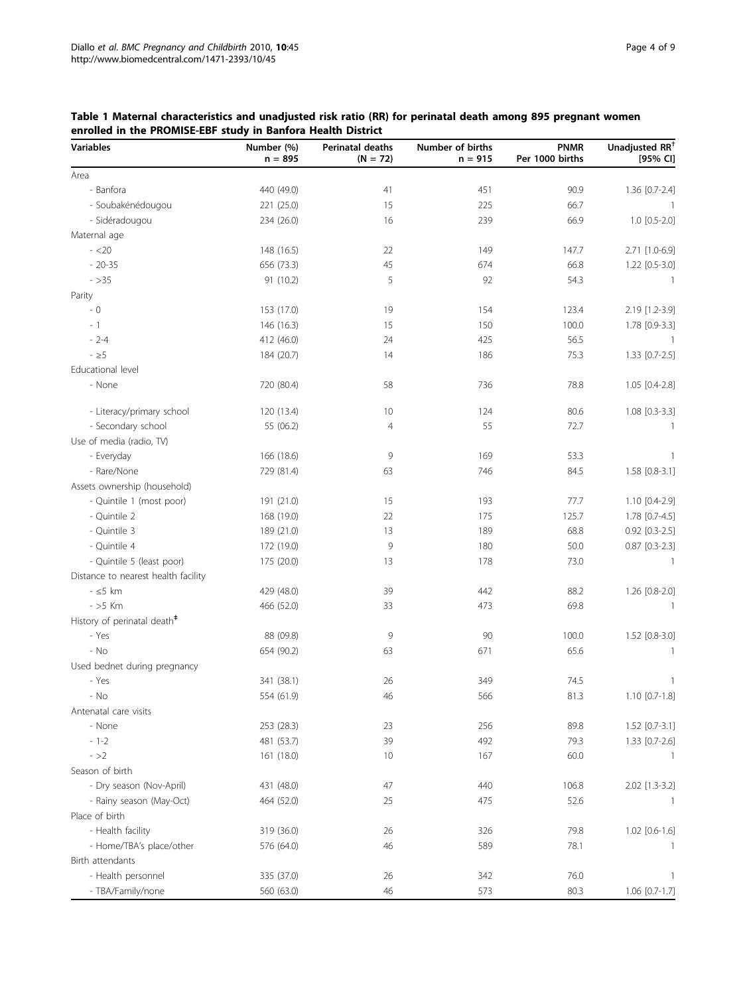| <b>Variables</b>                        | Number (%)<br>$n = 895$ | Perinatal deaths<br>$(N = 72)$ | Number of births<br>$n = 915$ | <b>PNMR</b><br>Per 1000 births | Unadjusted RR <sup>+</sup><br>[95% CI] |
|-----------------------------------------|-------------------------|--------------------------------|-------------------------------|--------------------------------|----------------------------------------|
| Area                                    |                         |                                |                               |                                |                                        |
| - Banfora                               | 440 (49.0)              | 41                             | 451                           | 90.9                           | 1.36 [0.7-2.4]                         |
| - Soubakénédougou                       | 221 (25.0)              | 15                             | 225                           | 66.7                           | $\overline{1}$                         |
| - Sidéradougou                          | 234 (26.0)              | 16                             | 239                           | 66.9                           | 1.0 [0.5-2.0]                          |
| Maternal age                            |                         |                                |                               |                                |                                        |
| $- < 20$                                | 148 (16.5)              | 22                             | 149                           | 147.7                          | 2.71 [1.0-6.9]                         |
| $-20-35$                                | 656 (73.3)              | 45                             | 674                           | 66.8                           | $1.22$ $[0.5-3.0]$                     |
| $-$ > 35                                | 91 (10.2)               | 5                              | 92                            | 54.3                           | 1                                      |
| Parity                                  |                         |                                |                               |                                |                                        |
| - 0                                     | 153 (17.0)              | 19                             | 154                           | 123.4                          | 2.19 [1.2-3.9]                         |
| $-1$                                    | 146 (16.3)              | 15                             | 150                           | 100.0                          | 1.78 [0.9-3.3]                         |
| $-2-4$                                  | 412 (46.0)              | 24                             | 425                           | 56.5                           | $\overline{1}$                         |
| - $\geq$ 5                              |                         | 14                             |                               | 75.3                           |                                        |
| Educational level                       | 184 (20.7)              |                                | 186                           |                                | 1.33 [0.7-2.5]                         |
|                                         |                         |                                |                               |                                |                                        |
| - None                                  | 720 (80.4)              | 58                             | 736                           | 78.8                           | 1.05 [0.4-2.8]                         |
| - Literacy/primary school               | 120 (13.4)              | 10                             | 124                           | 80.6                           | 1.08 [0.3-3.3]                         |
| - Secondary school                      | 55 (06.2)               | $\overline{4}$                 | 55                            | 72.7                           | $\overline{\phantom{a}}$               |
| Use of media (radio, TV)                |                         |                                |                               |                                |                                        |
| - Everyday                              | 166 (18.6)              | 9                              | 169                           | 53.3                           | 1                                      |
| - Rare/None                             | 729 (81.4)              | 63                             | 746                           | 84.5                           | 1.58 [0.8-3.1]                         |
| Assets ownership (household)            |                         |                                |                               |                                |                                        |
| - Quintile 1 (most poor)                | 191 (21.0)              | 15                             | 193                           | 77.7                           | 1.10 [0.4-2.9]                         |
| - Quintile 2                            | 168 (19.0)              | 22                             | 175                           | 125.7                          | 1.78 [0.7-4.5]                         |
| - Quintile 3                            | 189 (21.0)              | 13                             | 189                           | 68.8                           | $0.92$ $[0.3-2.5]$                     |
| - Quintile 4                            | 172 (19.0)              | 9                              | 180                           | 50.0                           | $0.87$ [0.3-2.3]                       |
| - Quintile 5 (least poor)               | 175 (20.0)              | 13                             | 178                           | 73.0                           | $\mathbf{1}$                           |
|                                         |                         |                                |                               |                                |                                        |
| Distance to nearest health facility     |                         |                                |                               |                                |                                        |
| $-5$ km                                 | 429 (48.0)              | 39                             | 442                           | 88.2                           | 1.26 [0.8-2.0]                         |
| $-55$ Km                                | 466 (52.0)              | 33                             | 473                           | 69.8                           | $\mathbf{1}$                           |
| History of perinatal death <sup>#</sup> |                         |                                |                               |                                |                                        |
| - Yes                                   | 88 (09.8)               | 9                              | 90                            | 100.0                          | 1.52 [0.8-3.0]                         |
| - No                                    | 654 (90.2)              | 63                             | 671                           | 65.6                           | 1                                      |
| Used bednet during pregnancy            |                         |                                |                               |                                |                                        |
| - Yes                                   | 341 (38.1)              | 26                             | 349                           | 74.5                           | 1                                      |
| - No                                    | 554 (61.9)              | 46                             | 566                           | 81.3                           | $1.10$ [0.7-1.8]                       |
| Antenatal care visits                   |                         |                                |                               |                                |                                        |
| - None                                  | 253 (28.3)              | 23                             | 256                           | 89.8                           | $1.52$ [0.7-3.1]                       |
| $-1-2$                                  | 481 (53.7)              | 39                             | 492                           | 79.3                           | 1.33 [0.7-2.6]                         |
| $- >2$                                  | 161 (18.0)              | 10                             | 167                           | 60.0                           | -1                                     |
| Season of birth                         |                         |                                |                               |                                |                                        |
| - Dry season (Nov-April)                | 431 (48.0)              | 47                             | 440                           | 106.8                          | 2.02 [1.3-3.2]                         |
| - Rainy season (May-Oct)                | 464 (52.0)              | 25                             | 475                           | 52.6                           |                                        |
| Place of birth                          |                         |                                |                               |                                |                                        |
| - Health facility                       | 319 (36.0)              | 26                             | 326                           | 79.8                           | $1.02$ [0.6-1.6]                       |
| - Home/TBA's place/other                | 576 (64.0)              | 46                             | 589                           | 78.1                           |                                        |
| Birth attendants                        |                         |                                |                               |                                |                                        |
| - Health personnel                      | 335 (37.0)              | 26                             | 342                           | 76.0                           | 1                                      |
| - TBA/Family/none                       | 560 (63.0)              | 46                             | 573                           | 80.3                           | 1.06 [0.7-1.7]                         |

## <span id="page-3-0"></span>Table 1 Maternal characteristics and unadjusted risk ratio (RR) for perinatal death among 895 pregnant women enrolled in the PROMISE-EBF study in Banfora Health District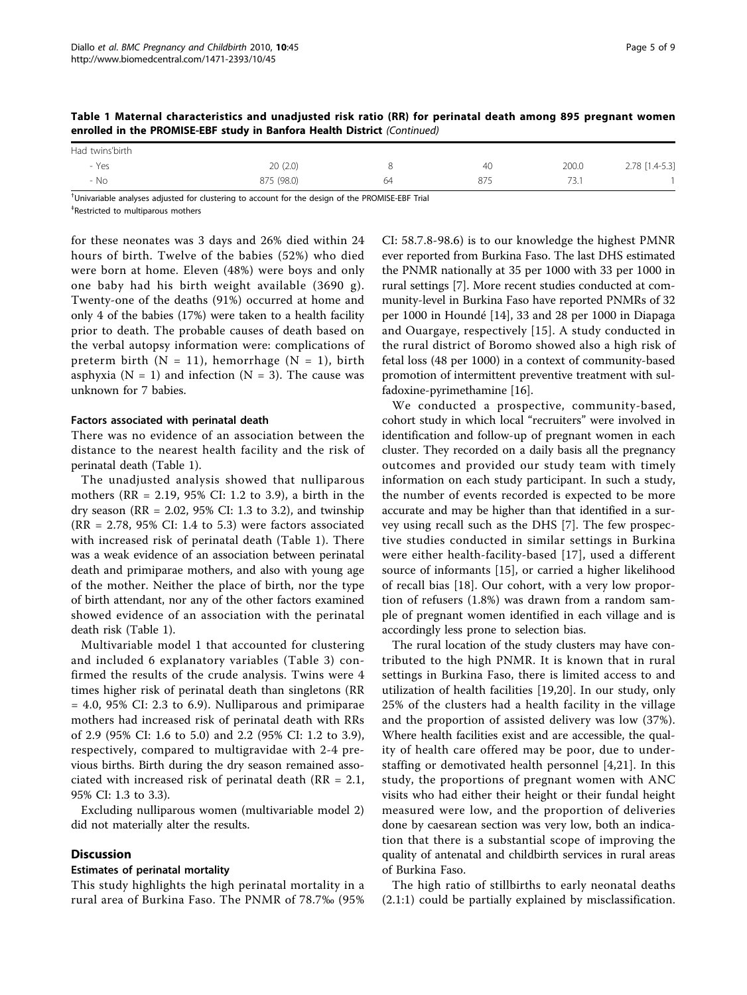|                 | . .        |    |     |       |                |
|-----------------|------------|----|-----|-------|----------------|
| Had twins'birth |            |    |     |       |                |
| - Yes           | 20(2.0)    |    | 40  | 200.0 | 2.78 [1.4-5.3] |
| - No            | 875 (98.0) | 64 | 875 | 73.1  |                |

Table 1 Maternal characteristics and unadjusted risk ratio (RR) for perinatal death among 895 pregnant women enrolled in the PROMISE-EBF study in Banfora Health District (Continued)

† Univariable analyses adjusted for clustering to account for the design of the PROMISE-EBF Trial ‡ Restricted to multiparous mothers

for these neonates was 3 days and 26% died within 24 hours of birth. Twelve of the babies (52%) who died were born at home. Eleven (48%) were boys and only one baby had his birth weight available (3690 g). Twenty-one of the deaths (91%) occurred at home and only 4 of the babies (17%) were taken to a health facility prior to death. The probable causes of death based on the verbal autopsy information were: complications of preterm birth ( $N = 11$ ), hemorrhage ( $N = 1$ ), birth asphyxia ( $N = 1$ ) and infection ( $N = 3$ ). The cause was unknown for 7 babies.

#### Factors associated with perinatal death

There was no evidence of an association between the distance to the nearest health facility and the risk of perinatal death (Table [1](#page-3-0)).

The unadjusted analysis showed that nulliparous mothers (RR = 2.19, 95% CI: 1.2 to 3.9), a birth in the dry season ( $RR = 2.02$ ,  $95\%$  CI: 1.3 to 3.2), and twinship  $(RR = 2.78, 95\% \text{ CI: } 1.4 \text{ to } 5.3)$  were factors associated with increased risk of perinatal death (Table [1](#page-3-0)). There was a weak evidence of an association between perinatal death and primiparae mothers, and also with young age of the mother. Neither the place of birth, nor the type of birth attendant, nor any of the other factors examined showed evidence of an association with the perinatal death risk (Table [1\)](#page-3-0).

Multivariable model 1 that accounted for clustering and included 6 explanatory variables (Table [3\)](#page-6-0) confirmed the results of the crude analysis. Twins were 4 times higher risk of perinatal death than singletons (RR  $= 4.0, 95\%$  CI: 2.3 to 6.9). Nulliparous and primiparae mothers had increased risk of perinatal death with RRs of 2.9 (95% CI: 1.6 to 5.0) and 2.2 (95% CI: 1.2 to 3.9), respectively, compared to multigravidae with 2-4 previous births. Birth during the dry season remained associated with increased risk of perinatal death ( $RR = 2.1$ , 95% CI: 1.3 to 3.3).

Excluding nulliparous women (multivariable model 2) did not materially alter the results.

## **Discussion**

#### Estimates of perinatal mortality

This study highlights the high perinatal mortality in a rural area of Burkina Faso. The PNMR of 78.7‰ (95%

CI: 58.7.8-98.6) is to our knowledge the highest PMNR ever reported from Burkina Faso. The last DHS estimated the PNMR nationally at 35 per 1000 with 33 per 1000 in rural settings [\[7](#page-7-0)]. More recent studies conducted at community-level in Burkina Faso have reported PNMRs of 32 per 1000 in Houndé [[14\]](#page-7-0), 33 and 28 per 1000 in Diapaga and Ouargaye, respectively [[15](#page-7-0)]. A study conducted in the rural district of Boromo showed also a high risk of fetal loss (48 per 1000) in a context of community-based promotion of intermittent preventive treatment with sulfadoxine-pyrimethamine [\[16](#page-7-0)].

We conducted a prospective, community-based, cohort study in which local "recruiters" were involved in identification and follow-up of pregnant women in each cluster. They recorded on a daily basis all the pregnancy outcomes and provided our study team with timely information on each study participant. In such a study, the number of events recorded is expected to be more accurate and may be higher than that identified in a survey using recall such as the DHS [[7](#page-7-0)]. The few prospective studies conducted in similar settings in Burkina were either health-facility-based [[17](#page-7-0)], used a different source of informants [[15\]](#page-7-0), or carried a higher likelihood of recall bias [\[18](#page-7-0)]. Our cohort, with a very low proportion of refusers (1.8%) was drawn from a random sample of pregnant women identified in each village and is accordingly less prone to selection bias.

The rural location of the study clusters may have contributed to the high PNMR. It is known that in rural settings in Burkina Faso, there is limited access to and utilization of health facilities [[19,20\]](#page-7-0). In our study, only 25% of the clusters had a health facility in the village and the proportion of assisted delivery was low (37%). Where health facilities exist and are accessible, the quality of health care offered may be poor, due to understaffing or demotivated health personnel [\[4](#page-7-0),[21\]](#page-7-0). In this study, the proportions of pregnant women with ANC visits who had either their height or their fundal height measured were low, and the proportion of deliveries done by caesarean section was very low, both an indication that there is a substantial scope of improving the quality of antenatal and childbirth services in rural areas of Burkina Faso.

The high ratio of stillbirths to early neonatal deaths (2.1:1) could be partially explained by misclassification.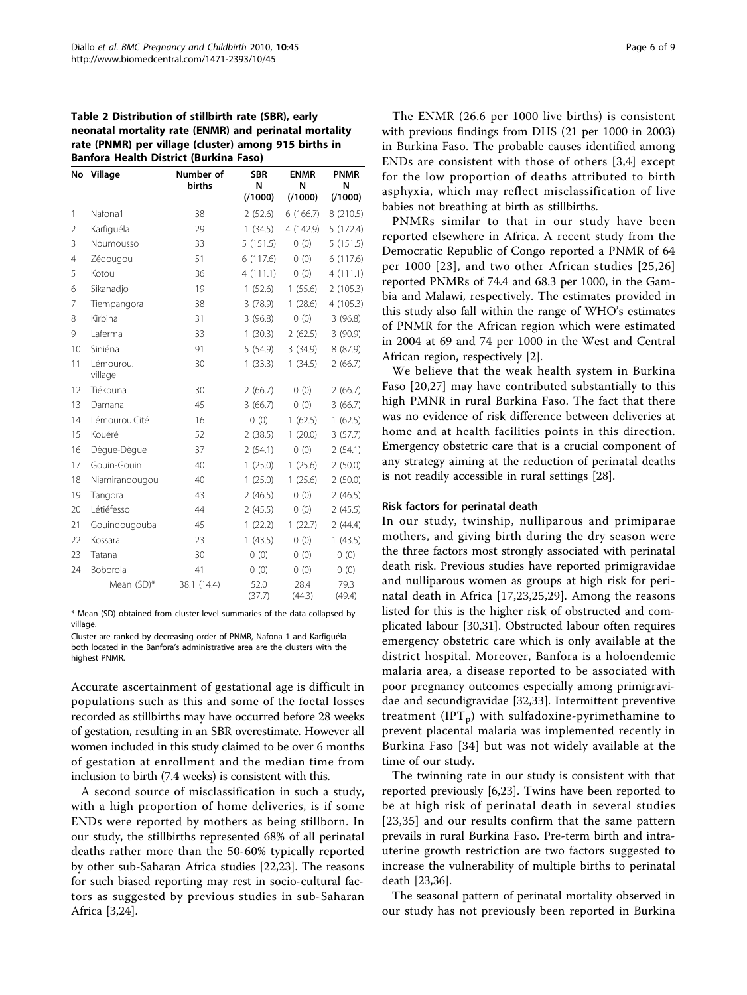## <span id="page-5-0"></span>Table 2 Distribution of stillbirth rate (SBR), early neonatal mortality rate (ENMR) and perinatal mortality rate (PNMR) per village (cluster) among 915 births in Banfora Health District (Burkina Faso)

| No             | Village              | Number of<br>births | <b>SBR</b><br>N<br>(1000) | <b>ENMR</b><br>N<br>(1000) | <b>PNMR</b><br>N<br>(1000) |
|----------------|----------------------|---------------------|---------------------------|----------------------------|----------------------------|
| $\mathbf{1}$   | Nafona1              | 38                  | 2(52.6)                   | 6(166.7)                   | 8 (210.5)                  |
| $\overline{2}$ | Karfiguéla           | 29                  | 1(34.5)                   | 4 (142.9)                  | 5(172.4)                   |
| 3              | Noumousso            | 33                  | 5(151.5)                  | 0(0)                       | 5(151.5)                   |
| 4              | Zédougou             | 51                  | 6(117.6)                  | 0(0)                       | 6(117.6)                   |
| 5              | Kotou                | 36                  | 4(111.1)                  | (0)                        | 4(111.1)                   |
| 6              | Sikanadjo            | 19                  | 1(52.6)                   | 1(55.6)                    | 2(105.3)                   |
| 7              | Tiempangora          | 38                  | 3(78.9)                   | 1(28.6)                    | 4(105.3)                   |
| 8              | Kirbina              | 31                  | 3(96.8)                   | 0(0)                       | 3(96.8)                    |
| 9              | Laferma              | 33                  | 1(30.3)                   | 2(62.5)                    | 3(90.9)                    |
| 10             | Siniéna              | 91                  | 5(54.9)                   | 3(34.9)                    | 8 (87.9)                   |
| 11             | Lémourou.<br>village | 30                  | 1(33.3)                   | 1(34.5)                    | 2(66.7)                    |
| 12             | Tiékouna             | 30                  | 2(66.7)                   | 0(0)                       | 2(66.7)                    |
| 13             | Damana               | 45                  | 3(66.7)                   | 0(0)                       | 3(66.7)                    |
| 14             | Lémourou.Cité        | 16                  | 0(0)                      | 1(62.5)                    | 1(62.5)                    |
| 15             | Kouéré               | 52                  | 2(38.5)                   | 1(20.0)                    | 3(57.7)                    |
| 16             | Dègue-Dègue          | 37                  | 2(54.1)                   | 0(0)                       | 2(54.1)                    |
| 17             | Gouin-Gouin          | 40                  | 1(25.0)                   | 1(25.6)                    | 2(50.0)                    |
| 18             | Niamirandougou       | 40                  | 1(25.0)                   | 1(25.6)                    | 2(50.0)                    |
| 19             | Tangora              | 43                  | 2(46.5)                   | 0(0)                       | 2(46.5)                    |
| 20             | Létiéfesso           | 44                  | 2(45.5)                   | 0(0)                       | 2(45.5)                    |
| 21             | Gouindougouba        | 45                  | 1(22.2)                   | 1(22.7)                    | 2(44.4)                    |
| 22             | Kossara              | 23                  | 1(43.5)                   | 0(0)                       | 1(43.5)                    |
| 23             | Tatana               | 30                  | 0(0)                      | 0(0)                       | 0(0)                       |
| 24             | Boborola             | 41                  | 0(0)                      | 0(0)                       | 0(0)                       |
|                | Mean (SD)*           | 38.1 (14.4)         | 52.0<br>(37.7)            | 28.4<br>(44.3)             | 79.3<br>(49.4)             |

\* Mean (SD) obtained from cluster-level summaries of the data collapsed by village.

Cluster are ranked by decreasing order of PNMR, Nafona 1 and Karfiguéla both located in the Banfora's administrative area are the clusters with the highest PNMR.

Accurate ascertainment of gestational age is difficult in populations such as this and some of the foetal losses recorded as stillbirths may have occurred before 28 weeks of gestation, resulting in an SBR overestimate. However all women included in this study claimed to be over 6 months of gestation at enrollment and the median time from inclusion to birth (7.4 weeks) is consistent with this.

A second source of misclassification in such a study, with a high proportion of home deliveries, is if some ENDs were reported by mothers as being stillborn. In our study, the stillbirths represented 68% of all perinatal deaths rather more than the 50-60% typically reported by other sub-Saharan Africa studies [\[22,23](#page-7-0)]. The reasons for such biased reporting may rest in socio-cultural factors as suggested by previous studies in sub-Saharan Africa [[3,24\]](#page-7-0).

The ENMR (26.6 per 1000 live births) is consistent with previous findings from DHS (21 per 1000 in 2003) in Burkina Faso. The probable causes identified among ENDs are consistent with those of others [\[3,4](#page-7-0)] except for the low proportion of deaths attributed to birth asphyxia, which may reflect misclassification of live babies not breathing at birth as stillbirths.

PNMRs similar to that in our study have been reported elsewhere in Africa. A recent study from the Democratic Republic of Congo reported a PNMR of 64 per 1000 [[23](#page-7-0)], and two other African studies [[25](#page-8-0),[26](#page-8-0)] reported PNMRs of 74.4 and 68.3 per 1000, in the Gambia and Malawi, respectively. The estimates provided in this study also fall within the range of WHO's estimates of PNMR for the African region which were estimated in 2004 at 69 and 74 per 1000 in the West and Central African region, respectively [[2\]](#page-7-0).

We believe that the weak health system in Burkina Faso [\[20](#page-7-0),[27\]](#page-8-0) may have contributed substantially to this high PMNR in rural Burkina Faso. The fact that there was no evidence of risk difference between deliveries at home and at health facilities points in this direction. Emergency obstetric care that is a crucial component of any strategy aiming at the reduction of perinatal deaths is not readily accessible in rural settings [\[28](#page-8-0)].

## Risk factors for perinatal death

In our study, twinship, nulliparous and primiparae mothers, and giving birth during the dry season were the three factors most strongly associated with perinatal death risk. Previous studies have reported primigravidae and nulliparous women as groups at high risk for perinatal death in Africa [[17,23](#page-7-0)[,25](#page-8-0),[29\]](#page-8-0). Among the reasons listed for this is the higher risk of obstructed and complicated labour [\[30,31](#page-8-0)]. Obstructed labour often requires emergency obstetric care which is only available at the district hospital. Moreover, Banfora is a holoendemic malaria area, a disease reported to be associated with poor pregnancy outcomes especially among primigravidae and secundigravidae [\[32,33](#page-8-0)]. Intermittent preventive treatment  $(IPT<sub>p</sub>)$  with sulfadoxine-pyrimethamine to prevent placental malaria was implemented recently in Burkina Faso [[34](#page-8-0)] but was not widely available at the time of our study.

The twinning rate in our study is consistent with that reported previously [[6,23](#page-7-0)]. Twins have been reported to be at high risk of perinatal death in several studies [[23](#page-7-0),[35](#page-8-0)] and our results confirm that the same pattern prevails in rural Burkina Faso. Pre-term birth and intrauterine growth restriction are two factors suggested to increase the vulnerability of multiple births to perinatal death [[23](#page-7-0)[,36](#page-8-0)].

The seasonal pattern of perinatal mortality observed in our study has not previously been reported in Burkina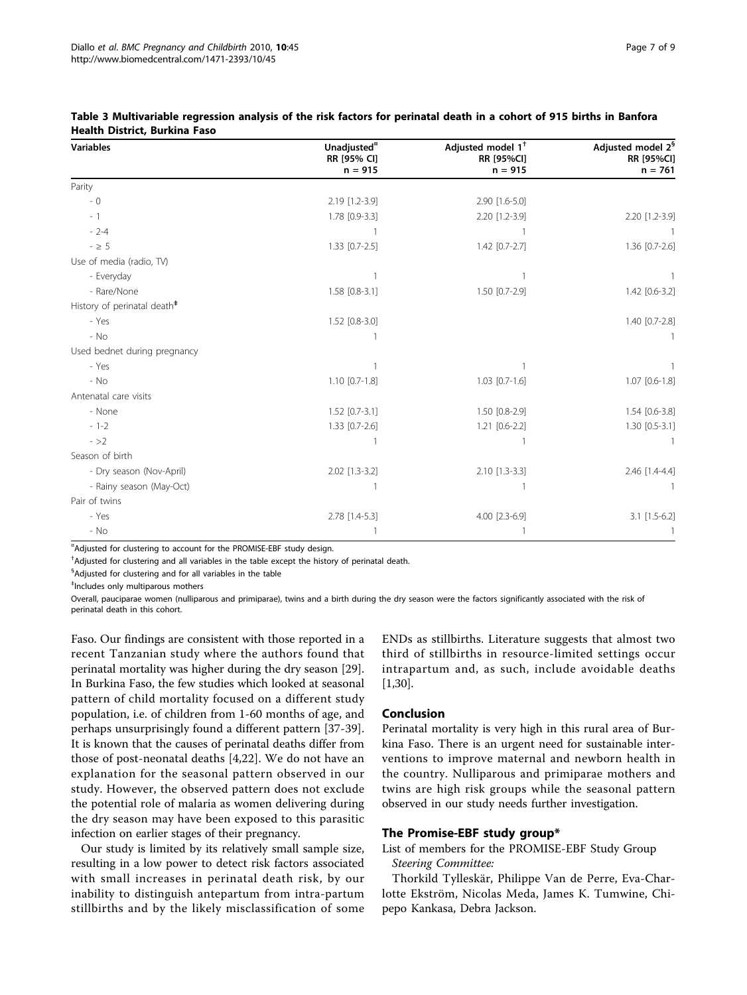| <b>Variables</b>                        | Unadjusted <sup>"</sup><br>RR [95% CI] | Adjusted model $1^{\dagger}$<br><b>RR [95%CI]</b> | Adjusted model 2 <sup>§</sup><br><b>RR [95%CI]</b> |
|-----------------------------------------|----------------------------------------|---------------------------------------------------|----------------------------------------------------|
|                                         | $n = 915$                              | $n = 915$                                         | $n = 761$                                          |
| Parity                                  |                                        |                                                   |                                                    |
| $-0$                                    | 2.19 [1.2-3.9]                         | 2.90 [1.6-5.0]                                    |                                                    |
| $-1$                                    | 1.78 [0.9-3.3]                         | 2.20 [1.2-3.9]                                    | 2.20 [1.2-3.9]                                     |
| $-2-4$                                  |                                        |                                                   |                                                    |
| $- \geq 5$                              | $1.33$ [0.7-2.5]                       | $1.42$ [0.7-2.7]                                  | $1.36$ [0.7-2.6]                                   |
| Use of media (radio, TV)                |                                        |                                                   |                                                    |
| - Everyday                              |                                        |                                                   |                                                    |
| - Rare/None                             | 1.58 [0.8-3.1]                         | 1.50 [0.7-2.9]                                    | 1.42 [0.6-3.2]                                     |
| History of perinatal death <sup>#</sup> |                                        |                                                   |                                                    |
| - Yes                                   | $1.52$ [0.8-3.0]                       |                                                   | 1.40 [0.7-2.8]                                     |
| - No                                    |                                        |                                                   |                                                    |
| Used bednet during pregnancy            |                                        |                                                   |                                                    |
| - Yes                                   |                                        |                                                   |                                                    |
| - No                                    | $1.10$ [0.7-1.8]                       | $1.03$ [0.7-1.6]                                  | 1.07 [0.6-1.8]                                     |
| Antenatal care visits                   |                                        |                                                   |                                                    |
| - None                                  | $1.52$ [0.7-3.1]                       | 1.50 [0.8-2.9]                                    | 1.54 [0.6-3.8]                                     |
| $-1-2$                                  | $1.33$ [0.7-2.6]                       | 1.21 [0.6-2.2]                                    | 1.30 [0.5-3.1]                                     |
| $- >2$                                  |                                        |                                                   |                                                    |
| Season of birth                         |                                        |                                                   |                                                    |
| - Dry season (Nov-April)                | 2.02 [1.3-3.2]                         | 2.10 [1.3-3.3]                                    | 2.46 [1.4-4.4]                                     |
| - Rainy season (May-Oct)                |                                        |                                                   |                                                    |
| Pair of twins                           |                                        |                                                   |                                                    |
| - Yes                                   | 2.78 [1.4-5.3]                         | 4.00 [2.3-6.9]                                    | 3.1 [1.5-6.2]                                      |
| $-$ No                                  |                                        |                                                   |                                                    |

## <span id="page-6-0"></span>Table 3 Multivariable regression analysis of the risk factors for perinatal death in a cohort of 915 births in Banfora Health District, Burkina Faso

¤ Adjusted for clustering to account for the PROMISE-EBF study design.

† Adjusted for clustering and all variables in the table except the history of perinatal death.

§ Adjusted for clustering and for all variables in the table

‡ Includes only multiparous mothers

Overall, pauciparae women (nulliparous and primiparae), twins and a birth during the dry season were the factors significantly associated with the risk of perinatal death in this cohort.

Faso. Our findings are consistent with those reported in a recent Tanzanian study where the authors found that perinatal mortality was higher during the dry season [\[29](#page-8-0)]. In Burkina Faso, the few studies which looked at seasonal pattern of child mortality focused on a different study population, i.e. of children from 1-60 months of age, and perhaps unsurprisingly found a different pattern [[37-39](#page-8-0)]. It is known that the causes of perinatal deaths differ from those of post-neonatal deaths [[4,22\]](#page-7-0). We do not have an explanation for the seasonal pattern observed in our study. However, the observed pattern does not exclude the potential role of malaria as women delivering during the dry season may have been exposed to this parasitic infection on earlier stages of their pregnancy.

Our study is limited by its relatively small sample size, resulting in a low power to detect risk factors associated with small increases in perinatal death risk, by our inability to distinguish antepartum from intra-partum stillbirths and by the likely misclassification of some ENDs as stillbirths. Literature suggests that almost two third of stillbirths in resource-limited settings occur intrapartum and, as such, include avoidable deaths [[1,](#page-7-0)[30\]](#page-8-0).

## Conclusion

Perinatal mortality is very high in this rural area of Burkina Faso. There is an urgent need for sustainable interventions to improve maternal and newborn health in the country. Nulliparous and primiparae mothers and twins are high risk groups while the seasonal pattern observed in our study needs further investigation.

#### The Promise-EBF study group\*

List of members for the PROMISE-EBF Study Group Steering Committee:

Thorkild Tylleskär, Philippe Van de Perre, Eva-Charlotte Ekström, Nicolas Meda, James K. Tumwine, Chipepo Kankasa, Debra Jackson.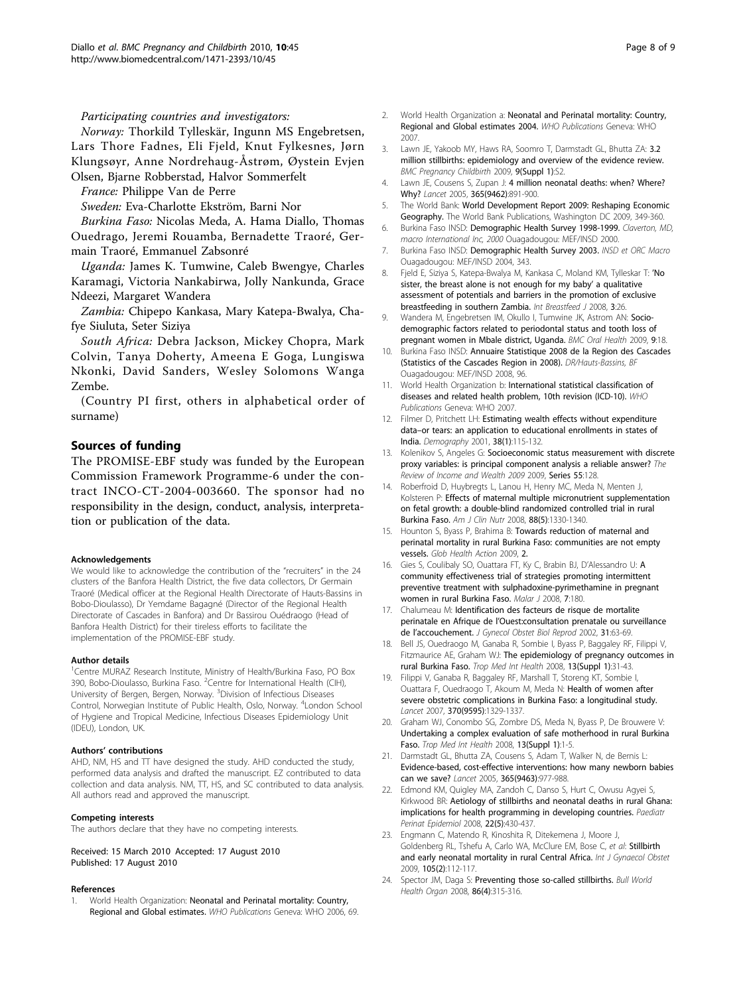#### <span id="page-7-0"></span>Participating countries and investigators:

Norway: Thorkild Tylleskär, Ingunn MS Engebretsen, Lars Thore Fadnes, Eli Fjeld, Knut Fylkesnes, Jørn Klungsøyr, Anne Nordrehaug-Åstrøm, Øystein Evjen Olsen, Bjarne Robberstad, Halvor Sommerfelt

France: Philippe Van de Perre

Sweden: Eva-Charlotte Ekström, Barni Nor

Burkina Faso: Nicolas Meda, A. Hama Diallo, Thomas Ouedrago, Jeremi Rouamba, Bernadette Traoré, Germain Traoré, Emmanuel Zabsonré

Uganda: James K. Tumwine, Caleb Bwengye, Charles Karamagi, Victoria Nankabirwa, Jolly Nankunda, Grace Ndeezi, Margaret Wandera

Zambia: Chipepo Kankasa, Mary Katepa-Bwalya, Chafye Siuluta, Seter Siziya

South Africa: Debra Jackson, Mickey Chopra, Mark Colvin, Tanya Doherty, Ameena E Goga, Lungiswa Nkonki, David Sanders, Wesley Solomons Wanga Zembe.

(Country PI first, others in alphabetical order of surname)

## Sources of funding

The PROMISE-EBF study was funded by the European Commission Framework Programme-6 under the contract INCO-CT-2004-003660. The sponsor had no responsibility in the design, conduct, analysis, interpretation or publication of the data.

#### Acknowledgements

We would like to acknowledge the contribution of the "recruiters" in the 24 clusters of the Banfora Health District, the five data collectors, Dr Germain Traoré (Medical officer at the Regional Health Directorate of Hauts-Bassins in Bobo-Dioulasso), Dr Yemdame Bagagné (Director of the Regional Health Directorate of Cascades in Banfora) and Dr Bassirou Ouédraogo (Head of Banfora Health District) for their tireless efforts to facilitate the implementation of the PROMISE-EBF study.

#### Author details

<sup>1</sup> Centre MURAZ Research Institute, Ministry of Health/Burkina Faso, PO Box 390, Bobo-Dioulasso, Burkina Faso. <sup>2</sup>Centre for International Health (CIH), University of Bergen, Bergen, Norway. <sup>3</sup>Division of Infectious Diseases Control, Norwegian Institute of Public Health, Oslo, Norway. <sup>4</sup>London School of Hygiene and Tropical Medicine, Infectious Diseases Epidemiology Unit (IDEU), London, UK.

#### Authors' contributions

AHD, NM, HS and TT have designed the study. AHD conducted the study, performed data analysis and drafted the manuscript. EZ contributed to data collection and data analysis. NM, TT, HS, and SC contributed to data analysis. All authors read and approved the manuscript.

#### Competing interests

The authors declare that they have no competing interests.

Received: 15 March 2010 Accepted: 17 August 2010 Published: 17 August 2010

#### References

World Health Organization: Neonatal and Perinatal mortality: Country, Regional and Global estimates. WHO Publications Geneva: WHO 2006, 69.

- 2. World Health Organization a: Neonatal and Perinatal mortality: Country, Regional and Global estimates 2004. WHO Publications Geneva: WHO 2007.
- 3. Lawn JE, Yakoob MY, Haws RA, Soomro T, Darmstadt GL, Bhutta ZA: [3.2](http://www.ncbi.nlm.nih.gov/pubmed/19426465?dopt=Abstract) [million stillbirths: epidemiology and overview of the evidence review.](http://www.ncbi.nlm.nih.gov/pubmed/19426465?dopt=Abstract) BMC Pregnancy Childbirth 2009, 9(Suppl 1):S2.
- 4. Lawn JE, Cousens S, Zupan J: [4 million neonatal deaths: when? Where?](http://www.ncbi.nlm.nih.gov/pubmed/15752534?dopt=Abstract) [Why?](http://www.ncbi.nlm.nih.gov/pubmed/15752534?dopt=Abstract) Lancet 2005, 365(9462):891-900.
- 5. The World Bank: World Development Report 2009: Reshaping Economic Geography. The World Bank Publications, Washington DC 2009, 349-360.
- 6. Burkina Faso INSD: Demographic Health Survey 1998-1999. Claverton, MD, macro International Inc, 2000 Ouagadougou: MEF/INSD 2000.
- 7. Burkina Faso INSD: Demographic Health Survey 2003. INSD et ORC Macro Ouagadougou: MEF/INSD 2004, 343.
- 8. Fjeld E, Siziya S, Katepa-Bwalya M, Kankasa C, Moland KM, Tylleskar T: '[No](http://www.ncbi.nlm.nih.gov/pubmed/18986539?dopt=Abstract) [sister, the breast alone is not enough for my baby](http://www.ncbi.nlm.nih.gov/pubmed/18986539?dopt=Abstract)' a qualitative [assessment of potentials and barriers in the promotion of exclusive](http://www.ncbi.nlm.nih.gov/pubmed/18986539?dopt=Abstract) [breastfeeding in southern Zambia.](http://www.ncbi.nlm.nih.gov/pubmed/18986539?dopt=Abstract) Int Breastfeed J 2008, 3:26.
- 9. Wandera M, Engebretsen IM, Okullo I, Tumwine JK, Astrom AN: [Socio](http://www.ncbi.nlm.nih.gov/pubmed/19615094?dopt=Abstract)[demographic factors related to periodontal status and tooth loss of](http://www.ncbi.nlm.nih.gov/pubmed/19615094?dopt=Abstract) [pregnant women in Mbale district, Uganda.](http://www.ncbi.nlm.nih.gov/pubmed/19615094?dopt=Abstract) BMC Oral Health 2009, 9:18.
- 10. Burkina Faso INSD: Annuaire Statistique 2008 de la Region des Cascades (Statistics of the Cascades Region in 2008). DR/Hauts-Bassins, BI Ouagadougou: MEF/INSD 2008, 96.
- 11. World Health Organization b: International statistical classification of diseases and related health problem, 10th revision (ICD-10). WHO Publications Geneva: WHO 2007.
- 12. Filmer D, Pritchett LH: [Estimating wealth effects without expenditure](http://www.ncbi.nlm.nih.gov/pubmed/11227840?dopt=Abstract) data–[or tears: an application to educational enrollments in states of](http://www.ncbi.nlm.nih.gov/pubmed/11227840?dopt=Abstract) [India.](http://www.ncbi.nlm.nih.gov/pubmed/11227840?dopt=Abstract) Demography 2001, 38(1):115-132.
- 13. Kolenikov S, Angeles G: Socioeconomic status measurement with discrete proxy variables: is principal component analysis a reliable answer? The Review of Income and Wealth 2009 2009, Series 55:128.
- 14. Roberfroid D, Huybregts L, Lanou H, Henry MC, Meda N, Menten J, Kolsteren P: [Effects of maternal multiple micronutrient supplementation](http://www.ncbi.nlm.nih.gov/pubmed/18996870?dopt=Abstract) [on fetal growth: a double-blind randomized controlled trial in rural](http://www.ncbi.nlm.nih.gov/pubmed/18996870?dopt=Abstract) [Burkina Faso.](http://www.ncbi.nlm.nih.gov/pubmed/18996870?dopt=Abstract) Am J Clin Nutr 2008, 88(5):1330-1340.
- 15. Hounton S, Byass P, Brahima B: [Towards reduction of maternal and](http://www.ncbi.nlm.nih.gov/pubmed/20027267?dopt=Abstract) [perinatal mortality in rural Burkina Faso: communities are not empty](http://www.ncbi.nlm.nih.gov/pubmed/20027267?dopt=Abstract) [vessels.](http://www.ncbi.nlm.nih.gov/pubmed/20027267?dopt=Abstract) Glob Health Action 2009, 2.
- 16. Gies S, Coulibaly SO, Ouattara FT, Ky C, Brabin BJ, D'Alessandro U: [A](http://www.ncbi.nlm.nih.gov/pubmed/18801158?dopt=Abstract) [community effectiveness trial of strategies promoting intermittent](http://www.ncbi.nlm.nih.gov/pubmed/18801158?dopt=Abstract) [preventive treatment with sulphadoxine-pyrimethamine in pregnant](http://www.ncbi.nlm.nih.gov/pubmed/18801158?dopt=Abstract) [women in rural Burkina Faso.](http://www.ncbi.nlm.nih.gov/pubmed/18801158?dopt=Abstract) Malar J 2008, 7:180.
- 17. Chalumeau M: Identification des facteurs de risque de mortalite perinatale en Afrique de l'Ouest:consultation prenatale ou surveillance de l'accouchement. J Gynecol Obstet Biol Reprod 2002, 31:63-69.
- 18. Bell JS, Ouedraogo M, Ganaba R, Sombie I, Byass P, Baggaley RF, Filippi V, Fitzmaurice AE, Graham WJ: [The epidemiology of pregnancy outcomes in](http://www.ncbi.nlm.nih.gov/pubmed/18578810?dopt=Abstract) [rural Burkina Faso.](http://www.ncbi.nlm.nih.gov/pubmed/18578810?dopt=Abstract) Trop Med Int Health 2008, 13(Suppl 1):31-43.
- 19. Filippi V, Ganaba R, Baggaley RF, Marshall T, Storeng KT, Sombie I, Ouattara F, Ouedraogo T, Akoum M, Meda N: [Health of women after](http://www.ncbi.nlm.nih.gov/pubmed/17933647?dopt=Abstract) [severe obstetric complications in Burkina Faso: a longitudinal study.](http://www.ncbi.nlm.nih.gov/pubmed/17933647?dopt=Abstract) Lancet 2007, 370(9595):1329-1337.
- 20. Graham WJ, Conombo SG, Zombre DS, Meda N, Byass P, De Brouwere V: [Undertaking a complex evaluation of safe motherhood in rural Burkina](http://www.ncbi.nlm.nih.gov/pubmed/18578806?dopt=Abstract) [Faso.](http://www.ncbi.nlm.nih.gov/pubmed/18578806?dopt=Abstract) Trop Med Int Health 2008, 13(Suppl 1):1-5.
- 21. Darmstadt GL, Bhutta ZA, Cousens S, Adam T, Walker N, de Bernis L: [Evidence-based, cost-effective interventions: how many newborn babies](http://www.ncbi.nlm.nih.gov/pubmed/15767001?dopt=Abstract) [can we save?](http://www.ncbi.nlm.nih.gov/pubmed/15767001?dopt=Abstract) Lancet 2005, 365(9463):977-988.
- 22. Edmond KM, Quigley MA, Zandoh C, Danso S, Hurt C, Owusu Agyei S, Kirkwood BR: [Aetiology of stillbirths and neonatal deaths in rural Ghana:](http://www.ncbi.nlm.nih.gov/pubmed/18782251?dopt=Abstract) [implications for health programming in developing countries.](http://www.ncbi.nlm.nih.gov/pubmed/18782251?dopt=Abstract) Paediatr Perinat Epidemiol 2008, 22(5):430-437.
- 23. Engmann C, Matendo R, Kinoshita R, Ditekemena J, Moore J, Goldenberg RL, Tshefu A, Carlo WA, McClure EM, Bose C, et al: [Stillbirth](http://www.ncbi.nlm.nih.gov/pubmed/19201402?dopt=Abstract) [and early neonatal mortality in rural Central Africa.](http://www.ncbi.nlm.nih.gov/pubmed/19201402?dopt=Abstract) Int J Gynaecol Obstet 2009, 105(2):112-117.
- 24. Spector JM, Daga S: [Preventing those so-called stillbirths.](http://www.ncbi.nlm.nih.gov/pubmed/18438521?dopt=Abstract) Bull World Health Organ 2008, 86(4):315-316.